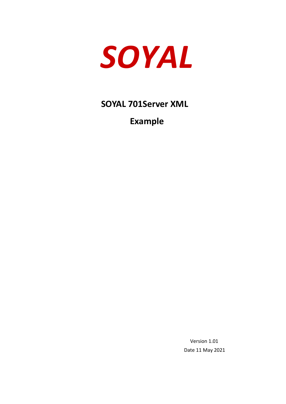

**SOYAL 701Server XML**

**Example** 

 Version 1.01 Date 11 May 2021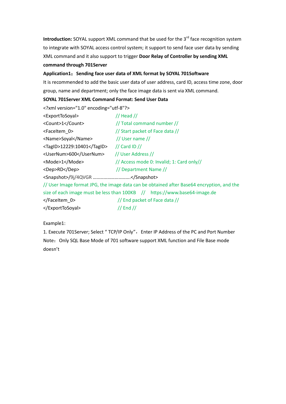**Introduction:** SOYAL support XML command that be used for the 3<sup>rd</sup> face recognition system to integrate with SOYAL access control system; it support to send face user data by sending XML command and it also support to trigger **Door Relay of Controller by sending XML** 

#### **command through 701Server**

### **Application1**:**Sending face user data of XML format by SOYAL 701Software**

It is recommended to add the basic user data of user address, card ID, access time zone, door group, name and department; only the face image data is sent via XML command.

#### **SOYAL 701Server XML Command Format: Send User Data**

| xml version="1.0" encoding="utf-8"? |                                                                                           |  |  |  |  |  |
|-------------------------------------|-------------------------------------------------------------------------------------------|--|--|--|--|--|
| <exporttosoyal></exporttosoyal>     | $//$ Head $//$                                                                            |  |  |  |  |  |
| <count>1</count>                    | // Total command number //                                                                |  |  |  |  |  |
| <faceitem 0=""></faceitem>          | // Start packet of Face data //                                                           |  |  |  |  |  |
| <name>Soyal</name>                  | // User name $\frac{1}{2}$                                                                |  |  |  |  |  |
| <tagid>12229:10401</tagid>          | $//$ Card ID $//$                                                                         |  |  |  |  |  |
| <usernum>600</usernum>              | // User Address //                                                                        |  |  |  |  |  |
| <mode>1</mode>                      | // Access mode 0: Invalid; 1: Card only//                                                 |  |  |  |  |  |
| <dep>RD</dep>                       | // Department Name //                                                                     |  |  |  |  |  |
| <snapshot>/9j/4QVGR </snapshot>     |                                                                                           |  |  |  |  |  |
|                                     | // User Image format JPG, the image data can be obtained after Base64 encryption, and the |  |  |  |  |  |
|                                     | size of each image must be less than 100KB // https://www.base64-image.de                 |  |  |  |  |  |
|                                     | // End packet of Face data //                                                             |  |  |  |  |  |

</ExportToSoyal> // End //

Example1:

1. Execute 701Server; Select " TCP/IP Only", Enter IP Address of the PC and Port Number Note: Only SQL Base Mode of 701 software support XML function and File Base mode doesn't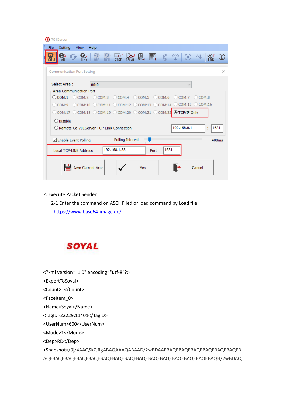| S 701Server                                                                                                                                                                                                |                                 |
|------------------------------------------------------------------------------------------------------------------------------------------------------------------------------------------------------------|---------------------------------|
| File<br>Setting<br>Help<br><b>View</b>                                                                                                                                                                     |                                 |
| $\frac{1}{821/9}$<br><b>O</b> <sub>2</sub><br>LAN<br>€6,3<br>$\frac{6}{R}$<br>$\frac{1}{716E}$<br>Q,<br>$\left[\begin{matrix}\mathbb{H}\end{matrix}\right],$ ( $\mathbb{C}$ )<br>992<br><b>COM</b><br>Line | θĤ,<br>钟!<br>မ္မာ့<br>Log<br>G) |
| <b>Communication Port Setting</b>                                                                                                                                                                          | ×                               |
| Select Area:<br>00:0                                                                                                                                                                                       | $\checkmark$                    |
| <b>Area Communication Port</b>                                                                                                                                                                             |                                 |
| $\bigcirc$ com:1 $\bigcirc$ com:2 $\bigcirc$ com:3 $\bigcirc$ com:4 $\bigcirc$ com:5 $\bigcirc$ com:6 $\bigcirc$ com:7 $\bigcirc$ com:8                                                                    |                                 |
| $\odot$ COM:9 $\odot$ COM:10 $\odot$ COM:11 $\odot$ COM:12 $\odot$ COM:13 $\odot$ COM:14 $\odot$ COM:15 $\odot$ COM:16                                                                                     |                                 |
| $\odot$ COM:17 $\odot$ COM:18 $\odot$ COM:19 $\odot$ COM:20 $\odot$ COM:21 $\odot$ COM:22 $\odot$ TCP/IP Only                                                                                              |                                 |
| $\bigcirc$ Disable                                                                                                                                                                                         |                                 |
| ○ Remote Co-701Server TCP-LINK Connection                                                                                                                                                                  | 192.168.0.1<br>1631<br>÷        |
| Polling Interval<br>⊡ Enable Event Polling                                                                                                                                                                 | 400ms                           |
| 192.168.1.88<br>1631<br><b>Local TCP-LINK Address</b><br>Port                                                                                                                                              |                                 |
| Save Current Area<br>Yes                                                                                                                                                                                   | Cancel                          |

#### 2. Execute Packet Sender

 2-1 Enter the command on ASCII Filed or load command by Load file <https://www.base64-image.de/>

# **SOYAL**

<?xml version="1.0" encoding="utf-8"?>

<ExportToSoyal>

<Count>1</Count>

<FaceItem\_0>

<Name>Soyal</Name>

<TagID>22229:11401</TagID>

<UserNum>600</UserNum>

<Mode>1</Mode>

<Dep>RD</Dep>

<Snapshot>/9j/4AAQSkZJRgABAQAAAQABAAD/2wBDAAEBAQEBAQEBAQEBAQEBAQEBAQEB AQEBAQEBAQEBAQEBAQEBAQEBAQEBAQEBAQEBAQEBAQEBAQEBAQEBAQEBAQH/2wBDAQ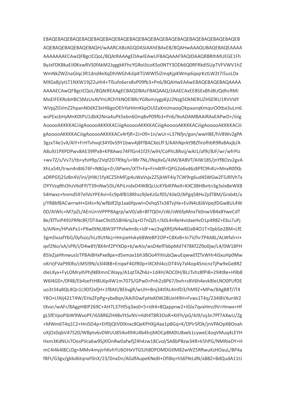AQEBAQEBAQEBAQEBAQH/wAARCABzAGQDASIAAhEBAxEB/8QAHwAAAQUBAQEBAQEAAAA AAAAAAAECAwQFBgclCQoL/8QAtRAAAgEDAwlEAwUFBAQAAAF9AQIDAAQRBRIhMUEGE1Fh ByJxFDKBkaEII0KxwRVS0fAkM2JyggkKFhcYGRolJicoKSo0NTY3ODk6Q0RFRkdISUpTVFVWV1hZ WmNkZWZnaGlgc3R1dnd4eXgDhIWGh4iJipKTJJWWl5iZmgKjpKWmp6ipgrKztLW2t7i5usLDx MXGx8iJvtLT1NXW19iZ2uHi4+Tl5ufo6erx8vP09fb3+Pn6/8OAHwEAAwEBAQEBAQEBAQAAAA AAAAECAwQFBgcICQoL/8QAtREAAgECBAQDBAcFBAQAAQJ3AAECAxEEBSExBhJBUQdhcRMi MoEIFEKRobHBCSMzUvAVYnLRChYkNOEI8RcYGRomJvgpKiU2Nzg5OkNERUZHSEIKU1RVVIdY WVpiZGVmZ2hpanN0dXZ3eHl6goOEhYaHilmKkpOUlZaXmJmaoqOkpaanqKmqsrO0tba3uLm6 wsPExcbHvMnK0tPU1dbX2Nna4uPk5ebn6Ong8vP09fb3+Pn6/9oADAMBAAIRAxEAPwD+/iiiig A0000AKKKKACiiigA0000AKKKKACiiigA0000AKKKKACiiigA0000AKKKKACiiigA0000AKKKKACiii gAooooAKKKKACiiigAooooAKKKKACv4rfjR+2J+09+1n/wUr+L37Nfjn/gon/wwH8E/hV8Wv2gPA 3gzxT4e1vX/AIY+FrHTvhvat34Y0vS9Y1bwv4i8Ff8ACXeLfF3/AAhNprkt98ZfirofhbR9Rv8Axib/A A8u9J1PXPDPwv8AE39fPx8+KP8Awo74FfGn41f2F/wlH/CoPhL8Rvii/wAI1/af9i/8JF/wr/wfrPiz +wv7Z/s/Vv7J/tb+yfsH9p/2Vqf2D7R9q/s+98r7NL/INqXxG/4JM/8ABVT/AIW18S/jnYf8Ozv2gvA XhLx54t/trwn4n8I674F+N8Gp+Zr/APwm/iXTf+Fa+Frn4tfFrQPG2o6vd6z8PfC9h4U+MnxR0fXb aDRPGfi2Sz8n4V/ini/iHW/1fvXCZ5hMFip4uWaVsix2Z5ikWF4iv7CW9rg6ud4SWGw2F5JRlVhTx OYYVzqRhOhzV6dFP/T39nNw5DL/APiLnidxD4W8QcUcKYbIKPAeX+KXC3BHBvitn3g3xlxBeWX8 S4Hwxz+hnmd597elVoYPE4vI+Ec9p4fB18Rhsz9ileKzGcf05/4JleD/APgq58Hv2idT8M/Grxb4t/a j/YR8bf8ACwrrwH+0J4s+N/wf8df2lp1xa6fgvwl+OvhgSTx38TvjHe+EviN4c8J6VpejfDGw8UL4W 0D/AIWlc+M7pZL/AEnUrnVPPP8Agrp/wV0/aB+Bf7QOn/sW/sW6fpMnxTk0nwVB4x8YweCdT 8e/EfTviP491PRNc8F/DT4aeC9c0S58H6rg2g+D7nQZL+/k0L4nReI4vidaeHvD1p4R8Z+Ebu7uPj b/AINm/HPxkPx1+PXw0tNU8W3P7Psfwlm8c+IdF+wz3vgXRfjJN4w8DaB4O1T+0pbSe28M+LfE 3gmDxzafYbG/0vfxzo/hLz9UtNci+HmizeHvkv68WeBP2OP+C8XxB+In7V/hr7P4A8L/ALWfxh+I+ axf2No/xA/sPR/i/D4w8Y/BX4nf2PYXOp+b/wAlv/wsD4efFbbpMd7478Kf2Z9o0iw/L4/0W18PH 85lxZiaHhnwuslzTP8Al8HxPxe8px+d5xmax1bh3BOo4YihlubQwuEqwwEfZTxWHr4iSxuHp0Mw oKrVjFVaP9l0fo/cM5l9N/x3l4l8B+EnipxF4GfR0p+IXCXhl4ccDT4Vy7xl4op4SnicnzTjPw9xGe8RZ dieLKyx+FyLOMryihPhjN8XmnCWayy/A1qtTAZh6z+1d4H/AOC0H/BLzTvhz8fPiB+294t8e+H9b8 W6l4G0+/0f48/Eb4zeFtH8U6p4W1m707S/GPw0+Pnh2z8P67/bvh+z8V6h4evk8leLNO0PUfDE uo3t34a8QL4Qn1L9Df2xfjH+1f8Atl/8EkvgR/wUH+Bnj34tfAL4mfD3/hM9Z+MPw/8AgB8T/iT4 Y8O+LfAlj421T4W/EHxZFpPg+ybxBqn/AAifiDwFpHxK0W28UeI49H+Fvws1T4q/234l8VXunW2 tXvxr/wAFr/8AgpH8IP269C+AH7L37Hl5q3xo0+5+Idt4+8Qappnw2+IGla7qvxHms9V+Hnwx+Hf gLSfEVpoPibW9WvoPF/i658R6ZH4BvYtSvNV+Hdt4T8R3OoR+KtFh/pG/4J9/sq3n7Pf7AXwU/Zg +MWm6T4q1C2+HniSD4p+Etf0jQtV0IXnxc8QeKPHXjj4aa1p8Gq+K/DPirSfDk/jnVPAOpX8Ooah oXjOz0qbV47S20/WBptv6vDWUU854o494U4b4hzjMOCp8M0IU8xeb1cyweC4oqVMuq4LEYH Hxm3KdNUsTOosPVca6w9SjXlOnRw0afwfjZ4h4zw18Cvol/SA8bPBzw34R+k5hPG/NMRieDY+H mC4I4k4l8CcDg+MMv4myjirhKvhYU6OHxVTG5Jh8DPOMDGtlM82wWZ5RRwuKzHOauL/BP4a f8Ft/G3gv/gkbd6tqnxF0nX/23/DnxDn/AGdfAupeKNe8I+OfiBq+hS6fYeLdN/aB8Z+BdQudA11tJ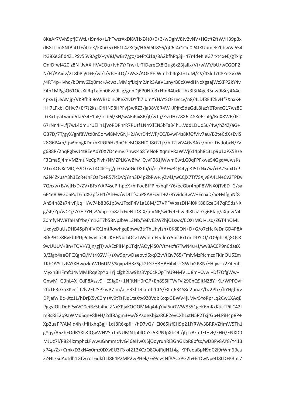8KeAr7Vvh5pfjDWtL+I9n4o+L/hTwzrXxDl8VHxZ4t0+0+3/wDghV8Jv2vNV+HGtftZftW/H39p3x dB8TtJm8NfBj4TfF/4keK/FXhG5+HF1L4Z8Qx/HA6P4t8S6/qC6t4r1Cxl0P4fXUumeFZbbwVa654 ltG8XeGfid4Z1PSv55v8AglX+yV8J/wBr7/go/b+FtCi1a/8A2bfhPq3jH47r4d+KieG7rxt4x+E/gTxlp OnfDfwf420iz8N+JvAXiHVvEOu+Jvh7Y/Frw+LfTfDereEX8f2ug6xZ3jallx/Vt/wWY/bU/wCGOP2 N/Ff/AAiev/2T8bPji9t+E/wl/s/VfsHiLQ/7WsX/AOE8+JWmf2b4q8L+LdM/4V/4Sluf7C8ZeGv7W /4RT4p+lyhd/bOmy6Zq0mc+AcwzLMMqfiJxim2Jnk3AeV1snyrB0cXWdHNcXgaaiWzXFP2kY4y E4h1MPgsO61OcsXilRq1ajnh06vZ9Lfg/gnhDj6P0Nfo3+HmR4bxK+lhx3l3iJ4gcR5nw9l8cy4A4e 4pxv1iLeAMip/VK9fh3I8oWBzbinOKeXYvDYfh7IgmYYHAYSOFzeccv/n8/4LDf8FIf2kvHf7XnxK+ HH7LPxb+OHw7+Ef7J2kz+DfHN98HPFvi3wRZ3/ia38V6R4W+JPifx5deGdL8lazY6TonxG17wz8E tGXxTqviLwjuu6Ja634F1aF/irLb6l/SN/wAEiPix8R/if/wTq/Zs+JHxZ8X6t488e6rpPi/RdX8W6/JFc 67rNn4l+Lfi7wL4dm1rLJFiin1iVoPDPhrR7PLJtf1NrrXfFN5bTa34h1IVdd1DLJdSu/4w/h747/aG+ G37D/7T/gyX/gnf8Wtd0n9orwl8MvGNj+2J/wrD4tWP/CC/BvwF4s8KfGfVIv7au/B2teCdX+EviS 28G6P4m/tiw9angKDn/hKPGPiHx9pOheBtO8Hf0if8G2fi7/hlf2JviV4Gv8Axr/bmrfDv9obxN/Zv g688R/2ngPgbwJ4t8EeAdY0X7D4emyJ7nwz4S8TeNoPiXgml+RaWWi614ph8c31p9p1aPX5Rze F3Ema5i4mVMZmuNzCpPivh/NMZPLK/wBfw+CvvF081iWwmCwtLG0gFPFxweS4GggWJwsKs VTxc4OvKcMQe59O7wT4C4O+g/g+G+AeGeD8Jh/o/eL/AAFw3Q44vp8J5txNx7w/i+AZ5dxDxP n2N4ZxuaY3h3EcR+JnFOaTx+R57icDVqYnh3D4pZbRw+JvZv4J/wCCiX7Tf7SXiv8A4LN+Cv2TPDv 7Qnxw+B/wjHxD/ZV+BFxY/AP4sePfhpeX+hfFoeBfFPinxhqFrY6/eeGbr4hpP8WNX0jTvED+G/sa 6F4e8IWGo6PgT6TdXGpf2H1/Ah+w/wDtTfszaP8A8FcviT+2z8Yvidg3wW+EcnxD/ac+MfghNf8 Ah54n8Za74lvPjJgHi/w74b8B61p3w1TxdP4V1a18M/E7VPFWpazDH4i0KK88GzeG47gR9dsNX g/sP/Zp/wCCi/7GH7YHivVvhp+zp8Zf+FieNtD8JX/inVNF/wCFefFbwl9l8LaZrGg6Bfap/aXinwN4 Z0mfyNW8TaHafYbe/m1GT7b58NpJbW13Nb/YeEvE2WZhjOLswx/EOXrMOI+Lsd/ZGT4nOML UxavzDuUsDHB4SpiY4iVKX1mtRowhgaEpww3trThUhvfzh+0K8EON+D+G/o7cHcKeDnGD4P8A Bf6PHCz8RvEbJPDiPcJwyLirOIUKHFNbiLiDCZLWyinmFJ5JImY5hicRxLmIDDYiO/7O9phsRg8QsR 9wUUUV+8n+TQV+Y3in/giT/wAEzPiH4p1Txir/AOvi4S0/VtY+xfa7TwN4u+J/wv8AC0P9n6daaX B/Zfgb4aeOPCXgnQ/MtrKGW+/sXw9p/wDaeovd6xqX2vVtQv765/TmivMzPJcmzqFKInOU5Zm 1KhOVSjTzPAYXHwozkuWU6UMVSqxpzlH3ZSgk2tG7H3HBHib4k+GWLx2P8N/EHjjw+x2Z4enh MyxnBHFmfcJ4vMMJRae2pYbHYilcfgK2Lw9Ks3Vp0cROpThU9+MVLU8m+Cvwl+Df7OfgWw+ GnwM+G3hL4X+CdP8Assv9i+E9Jg0/+1NRtNH0rQP+Eh8S6liTVvFvi290nQ9ltNZ8Y+KL/WPFOvf 2fbT63rGoXKecfJf2lv2Ff2SP2wP7Jm/aL+B3hL4iatof2CLS/FXm634S8d2unaZ/bz2Ph7/hYHgbVv DPjafwlBc+Jtc1L/hDrjX5vC0msXv9tTaPJq1taXtv9Z0VdbKcqxGBWV4jLMvr5YoRprLq2Cw1XAqE PggsJOlLDqEPsxVO0eiRz5b4hcfZNxXPjvKOOOMMq44qYivi6nGWW8S51geK6mKxKticTPiLC42l m8sRiE2q9aWMdSqn+8ll+H/2df8Agm3+w/8AsoeKbjxz8CP2evCXhLxtN5P2TxjrGp+LPiH4p8P+ Xp2uaPP/AMId4h+JfiHxhq3gj+1dJ8R6xpfiH/hD7vQ/+El065isfEH9p21lYRWv3BRRVZflmW5Th1 g8qy/A5ZhFOdRYXL8JQwWHVSbTnNUMNTp0lObSc5KPNJpXbOfi/jfjTxBzmfEfHvF/FHG/ENXD0 MJUz7i/P824lzmphcLFwwuGnmmc4vG46eHw0JSjQoyrunRi3GnGKbR8bfsx/wDBPv8AY8/Y413 xP4p/Zx+Cmk/D3xN4x0mz0DXvEU3iTxx4212XQrO8OojRdN1f4g+KPFeoaBpN9qC2l9rWm6Bca ZZ+ILzSdAutdh1Gfw7oT6dkftLf8E4P2MP2wPHek/Ev9ov4Nf8ACxPG2h+ErDwNpetf8LD+K3hL7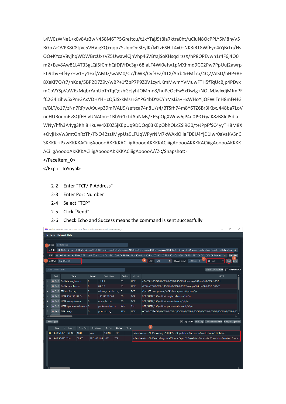L4W0zWNe1+x0v8As3wN458M6TP5GreJtcu/t1xYTajJ9t8ia7ktra0ht/uCiuN8OcPPLY5M8hyV5 RGp7aOVPK8C8tjVc5VHVjgXQ+qqp7SUqnOqSlzylK/M2z6SHjT4x0+NK3iRT8WfEyn4iYjBrLq/Hs OO+KYcaV8vjhgWDWBrcUxzVZ5UwawlCjhVhp46VBYajSoKHsgcIrzzX/hP8OPEvwn1r4F6j4Q0 m2+Eev8Aw81L4T33gLQI5fCmhQfDjVfDc3g+68IaLF4Wl0efw1pMXhmd9G02Pw7PpUuj2awrp Eti9tbvF4f+y7+w1+y1+xf/AMJz/wAM0/C7/hW3/Cyf+EZ/4TX/AIrb4i+Mf7a/4Q7/AISD/hHP+R+ 8XeKf7O/s7/hKde/5BP2D7Z9v/wBP+1fZbP7P9Z0V1zyrLKmMwmYVMuwFTH5fTqUcBjp4PDyx mCpVYSpVaWExMqbrYanUpTnTqQozhGcJyhJOMmn8/huPeOcFw5xDwfg+NOLMJwlxdjMJmPF fC2G4izihw5xPmGAxVDHYHHcQ5JSxkMszrGYPG4bDYzCYnMsLia+HxWHoYiiOFWlTnH8mf+HG n/BLT/o17/zNn7RP/wA9uvp39mP/AIJ9/sefsca74n8U/s4/BTSfh74m8Y6TZ6Br3iKbxJ448ba7LoV neHURoum6v8QfFHivUNA0m+1BbS+1rTdAuNMs/EF5pOgXWuw6jP4d0J9O+yaK8zB8IcJ5dia WNv/hfh3A4vg3Khi8HkuW4XE0ZSiKEpUq9DDQq03KEpQbhOLcZSi9G0/t+JPpFfSC4vvTH8M8X +OvjHxVw3mtOnRzTh/iTxO42zzJMypUa9LFUqWPyrNM7xWAxlOliaFDEU4YjD1Iwr0aVaKVSnC SKKKK+iPxwKKKKACiiigAooooAKKKKACiiigAooooAKKKKACiiigAooooAKKKKACiiigAooooAKKKK ACiiigAooooAKKKKACiiigAooooAKKKKACiiigAooooA//Z</Snapshot>

</FaceItem 0>

</ExportToSoyal>

- 2-2 Enter "TCP/IP Address"
- 2-3 Enter Port Number
- 2-4 Select "TCP"
- 2-5 Click "Send"
- 2-6 Check Echo and Success means the command is sent successfully

|                | Packet Sender - IPs: 192.168.1.88. fe80::c8df:c33a:a445:83b5%ethernet 6<br>п<br>x                                                                                                                                                                                                                                                                                                                                                                                                                                                          |                           |  |                          |                               |                   |         |                       |            |         |            |            |                                                                                                                                      |  |  |
|----------------|--------------------------------------------------------------------------------------------------------------------------------------------------------------------------------------------------------------------------------------------------------------------------------------------------------------------------------------------------------------------------------------------------------------------------------------------------------------------------------------------------------------------------------------------|---------------------------|--|--------------------------|-------------------------------|-------------------|---------|-----------------------|------------|---------|------------|------------|--------------------------------------------------------------------------------------------------------------------------------------|--|--|
|                | File Tools Multicast Help                                                                                                                                                                                                                                                                                                                                                                                                                                                                                                                  |                           |  |                          |                               |                   |         |                       |            |         |            |            |                                                                                                                                      |  |  |
|                | Packet Name<br>Name<br>KKKACiiigAooooAKKKKACiiigAooooAKKKKACiiigAooooAKKKKACiiigAooooAKKKKACiiigAooooAKKKKACiiigAooooAKKKKACiiigAooooA/KZ \n\n\n   ×<br>ASCII.<br>11 4b 4b 4b 4b 41 43 69 69 69 67 41 6f 6f 6f 6f 41 2f 2f 5a 3c 2f 53 6e 61 70 73 68 6f 74 3e 20 0a 3c 2f 46 61 63 65 49 74 65 6d 5f 30 3e 0a 3c 2f 45 78 70 6f 72 74 54 6f 53 6f 79 61 6c 3e 0a<br>Load File<br><b>HEX</b><br>$\mathbf{x}$<br>3<br>$\overline{\mathbf{x}}$<br>Port 1631<br>Send<br>Address<br>192.168.1.88<br>Resend Delay<br>0.0/blank off<br>C<br>Save |                           |  |                          |                               |                   |         |                       |            |         |            |            |                                                                                                                                      |  |  |
|                |                                                                                                                                                                                                                                                                                                                                                                                                                                                                                                                                            |                           |  |                          |                               |                   |         |                       |            |         |            |            |                                                                                                                                      |  |  |
|                |                                                                                                                                                                                                                                                                                                                                                                                                                                                                                                                                            | Search Saved Packets.     |  |                          |                               |                   |         |                       |            |         |            |            | Delete Saved Packet<br>Persistent TCP                                                                                                |  |  |
|                |                                                                                                                                                                                                                                                                                                                                                                                                                                                                                                                                            | Send                      |  | Name                     |                               | Resend            |         | To Address            |            | To Port |            | Method     | ASCII                                                                                                                                |  |  |
|                |                                                                                                                                                                                                                                                                                                                                                                                                                                                                                                                                            | <b>Send</b>               |  | DNS dannagle.com         |                               | 0                 | 1.1.1.1 |                       |            | 53      |            | <b>UDP</b> | \f7\e3\01\00\00\01\00\00\00\00\00\00\00\08dannagle\03com\00\00\01\00\01                                                              |  |  |
| $\overline{2}$ |                                                                                                                                                                                                                                                                                                                                                                                                                                                                                                                                            |                           |  | Send DNS example.com     |                               | $\mathbf{0}$      | 8.8.8.8 |                       |            | 53      |            | <b>UDP</b> | \91\8b\01\00\00\01\00\00\00\00\00\00\00\07example\03com\00\00\01\00\01                                                               |  |  |
| 3              |                                                                                                                                                                                                                                                                                                                                                                                                                                                                                                                                            |                           |  | Send FTP debian.org      |                               | $\mathbf{0}$      |         | cdimage.debian.org 21 |            |         | <b>TCP</b> |            | \r\nUSER anonymous\r\nPASS anonymous\r\nquit\r\n                                                                                     |  |  |
| и              |                                                                                                                                                                                                                                                                                                                                                                                                                                                                                                                                            |                           |  | Send HTTP 138.197.192.84 |                               | $\circ$           |         | 138.197.192.84        |            | 80      | <b>TCP</b> |            | GET / HTTP/1.0\r\nHost: naglecode.com\r\n\r\n                                                                                        |  |  |
| 5              |                                                                                                                                                                                                                                                                                                                                                                                                                                                                                                                                            |                           |  | Send HTTP example.com    |                               | $\mathbf{0}$      |         | example.com           |            | 80      | <b>TCP</b> |            | GET / HTTP/1.0\r\nHost: example.com\r\n\r\n                                                                                          |  |  |
| 6              |                                                                                                                                                                                                                                                                                                                                                                                                                                                                                                                                            |                           |  |                          | Send HTTPS packetsender.com 0 | packetsender.com  |         |                       |            | 443     |            | <b>SSL</b> | GET / HTTP/1.0\r\nHost: packetsender.com\r\n\r\n                                                                                     |  |  |
|                |                                                                                                                                                                                                                                                                                                                                                                                                                                                                                                                                            | <b>En</b> Send NTP query  |  |                          |                               | $\mathbf{0}$      |         | pool.ntp.org          |            | 123     |            | <b>UDP</b> |                                                                                                                                      |  |  |
|                |                                                                                                                                                                                                                                                                                                                                                                                                                                                                                                                                            |                           |  |                          |                               |                   |         |                       |            |         |            |            |                                                                                                                                      |  |  |
|                |                                                                                                                                                                                                                                                                                                                                                                                                                                                                                                                                            | Clear $Log(2)$            |  |                          |                               |                   |         |                       |            |         |            |            | □ Log Traffic Save Log Save Traffic Packet Copy to Clipboard                                                                         |  |  |
|                |                                                                                                                                                                                                                                                                                                                                                                                                                                                                                                                                            | Time                      |  | From IP                  | From Port                     | To Address        |         | To Port               | Method     |         | Emor       |            | 6 <sup>1</sup>                                                                                                                       |  |  |
|                |                                                                                                                                                                                                                                                                                                                                                                                                                                                                                                                                            |                           |  | 13:48:50.455 192.16      | 1631                          | You               |         | 59363                 | <b>TCP</b> |         |            |            | xml version="1.0"encoding="utf-8"? <soyalecho> Success </soyalecho> (7117 Bytes)                                                     |  |  |
|                |                                                                                                                                                                                                                                                                                                                                                                                                                                                                                                                                            | <b>m</b> 13:48:50.445 You |  |                          | 59363                         | 192.168.1.88 1631 |         |                       | <b>TCP</b> |         |            |            | xml version="1.0" encoding="utf-8"? \n <exporttosoyal>\n<count>1</count>\n<faceitem_0>\n<n< td=""></n<></faceitem_0></exporttosoyal> |  |  |
|                |                                                                                                                                                                                                                                                                                                                                                                                                                                                                                                                                            |                           |  |                          |                               |                   |         |                       |            |         |            |            |                                                                                                                                      |  |  |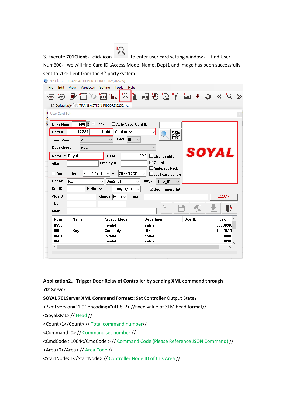3. Execute **701Client**, click icon to enter user card setting window, find User Num600, we will find Card ID, Access Mode, Name, Dept1 and image has been successfully sent to 701Client from the 3<sup>rd</sup> party system.

701 Client - [TRANSACTION RECORDS2021/02/25]

|                       | る ほ 街 ら 歯 …                    | $^{\bullet}$<br><u> န</u>                              | $\mathfrak{B}$ 0 $\mathbb{Q}$ $\mathbb{Z}$ a + 0 $\times$ 0 $\times$ |        |                      |
|-----------------------|--------------------------------|--------------------------------------------------------|----------------------------------------------------------------------|--------|----------------------|
|                       |                                | Default.pir G TRANSACTION RECORDS2021/                 |                                                                      |        |                      |
|                       |                                |                                                        |                                                                      |        |                      |
| <b>User Card Edit</b> |                                |                                                        |                                                                      |        |                      |
| <b>User Num</b>       | $600 \, \boxed{9}$ $\Box$ Lock | Auto Save Card ID                                      |                                                                      |        |                      |
| Card ID               | 12229                          | 11401<br>Card only                                     | $\checkmark$                                                         |        |                      |
|                       | <b>ALL</b>                     | Level<br>00                                            | 骡                                                                    |        |                      |
| <b>Time Zone</b>      |                                |                                                        |                                                                      |        |                      |
| <b>Door Group</b>     | <b>ALL</b>                     |                                                        |                                                                      |        |                      |
| Name * Soyal          |                                | <b>P.I.N.</b>                                          | ****<br>$\Box$ Changeable                                            |        | SOYAL                |
| <b>Alias</b>          |                                | <b>Employ ID</b>                                       | $\boxdot$ Guard                                                      |        |                      |
|                       |                                |                                                        | $\Box$ Anti-passback                                                 |        |                      |
| $\square$ Date Limits | 2000/ 1/ 1                     | 2079/12/31<br>$\checkmark$<br>$\overline{\phantom{0}}$ | $\checkmark$<br>$\Box$ Just card contro                              |        |                      |
| Depart.               | <b>RD</b>                      | $\log 2$ 01<br>$\checkmark$                            | Duty#<br>$\checkmark$<br>Duty 01                                     |        |                      |
| Car ID                | <b>Birthday</b>                | 2000/1/8                                               | $\boxdot$ Just fingerprint<br>$\checkmark$                           |        |                      |
| VisalD                |                                | Gender Male $\sim$<br>E-mail:                          |                                                                      |        | 00014                |
| TEL:                  |                                |                                                        |                                                                      |        |                      |
|                       |                                |                                                        | r.<br>$\sim$                                                         |        | F                    |
| Addr.                 |                                |                                                        |                                                                      |        |                      |
| <b>Num</b>            | Name                           | <b>Access Mode</b>                                     | Department                                                           | UserID | Index                |
| 0599                  |                                | Invalid                                                | sales                                                                |        | 00000:00             |
| 0600                  | Soyal                          | Card only                                              | <b>RD</b>                                                            |        | 12229:11             |
| 0601<br>0602          |                                | Invalid<br>Invalid                                     | sales<br>sales                                                       |        | 00000:00<br>00000:00 |
|                       |                                |                                                        |                                                                      |        |                      |

**Application2**:**Trigger Door Relay of Controller by sending XML command through 701Server**

**SOYAL 701Server XML Command Format::** Set Controller Output State:

<?xml version="1.0" encoding="utf-8"?> //fixed value of XLM head format//

<SoyalXML> // Head //

<Count>1</Count> // Total command number//

<Command\_0> // Command set number //

<CmdCode >1004</CmdCode > // Command Code (Please Reference JSON Command) //

<Area>0</Area> // Area Code //

<StartNode>1</StartNode> // Controller Node ID of this Area //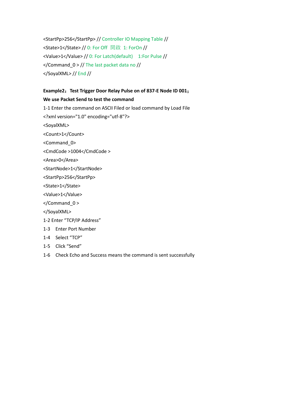<StartPp>256</StartPp> // Controller IO Mapping Table // <State>1</State> // 0: For Off 開啟 1: ForOn // <Value>1</Value> // 0: For Latch(default) 1:For Pulse // </Command\_0 > // The last packet data no // </SoyalXML> // End //

## **Example2**:**Test Trigger Door Relay Pulse on of 837-E Node ID 001**; **We use Packet Send to test the command**

1-1 Enter the command on ASCII Filed or load command by Load File

<?xml version="1.0" encoding="utf-8"?>

<SoyalXML>

<Count>1</Count>

<Command\_0>

<CmdCode >1004</CmdCode >

<Area>0</Area>

<StartNode>1</StartNode>

<StartPp>256</StartPp>

<State>1</State>

<Value>1</Value>

</Command\_0 >

</SoyalXML>

1-2 Enter "TCP/IP Address"

- 1-3 Enter Port Number
- 1-4 Select "TCP"
- 1-5 Click "Send"
- 1-6 Check Echo and Success means the command is sent successfully